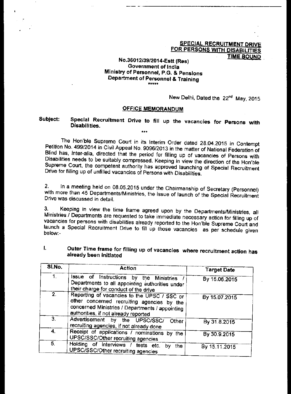### **SPECIAL RECRUITMENT DRIVE FOR PERSONS WITH DISABILITIES TIME BOUND**

## **No.36012/39/2014-Estt (Res) Government of India Ministry of Personnel, P.G. & Pensions Department of Personnel & Training**

New Delhi, Dated the 22<sup>nd</sup> May, 2015

### **OFFICE MEMORANDUM**

### **Subject: Special Recruitment Drive to fill up the vacancies for Persons with Disabilities.**

**\*\*\*** 

**The** Hon'ble Supreme Court in its Interim Order dated 28.04.2015 in Contempt Petition No. 499/2014 in Civil Appeal No. 9096/2013 in the matter of National Federation of Blind has, inter-alia, directed that the period for filling up of vacancies of Persons with Disabilities needs to be suitably compressed. Keeping in view the direction of the Hon'ble Supreme Court, the competent authority has approved launching of Special Recruitment Drive for filling up of unfilled vacancies of Persons with Disabilities.

2. In a meeting held on 08.05.2015 under the Chairmanship of Secretary (Personnel) with more than 45 Departments/Ministries, the issue of launch of the Special Recruitment Drive was discussed in detail.

3. Keeping in view the time frame agreed upon by the Departments/Ministries, all Ministries / Departments are requested to take immediate necessary action for filling up of vacancies for persons with disabilities already reported to the Hon'ble Supreme Court and launch a Special Recruitment Drive to fill up those vacancies as per schedule given below:-

| Outer Time frame for filling up of vacancies where recruitment action has |  |
|---------------------------------------------------------------------------|--|
| already been initiated                                                    |  |

| SI.No.         | <b>Action</b>                                                                                                                                                                        | <b>Target Date</b><br>By 15.06.2015 |  |
|----------------|--------------------------------------------------------------------------------------------------------------------------------------------------------------------------------------|-------------------------------------|--|
| 1.             | Issue of Instructions by the Ministries<br>Departments to all appointing authorities under<br>their charge for conduct of the drive                                                  |                                     |  |
| 2.             | Reporting of vacancies to the UPSC / SSC or<br>other concerned recruiting agencies by the<br>concerned Ministries / Departments / appointing<br>authorities, if not already reported | By 15.07.2015                       |  |
| 3 <sub>1</sub> | Advertisement by the UPSC/SSC/<br>Other<br>recruiting agencies, if not already done                                                                                                  | By 31.8.2015                        |  |
| 4.             | Receipt of applications / nominations by the<br>UPSC/SSC/Other recruiting agencies                                                                                                   | By 30.9.2015                        |  |
| 5.             | Holding of interviews / tests etc.<br>the<br>by<br>UPSC/SSC/Other recruiting agencies                                                                                                | By 15.11.2015                       |  |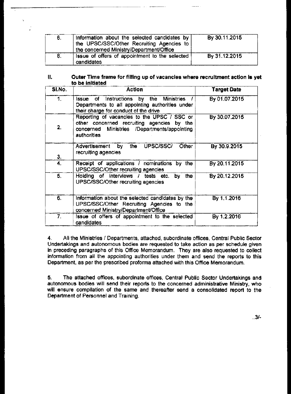| 6. | Information about the selected candidates by  <br>the UPSC/SSC/Other Recruiting Agencies to<br>the concerned Ministry/Department/Office | By 30.11.2015 |
|----|-----------------------------------------------------------------------------------------------------------------------------------------|---------------|
| 8. | Issue of offers of appointment to the selected<br>candidates                                                                            | By 31.12.2015 |

 $\epsilon$ 

Î,

#### **Outer Time frame for filling up of vacancies where recruitment action is yet**  Ⅱ. **to be initiated**

| SI.No. | <b>Action</b>                                                                                                                                            | <b>Target Date</b> |
|--------|----------------------------------------------------------------------------------------------------------------------------------------------------------|--------------------|
| 1.     | Issue of Instructions by the Ministries<br>Departments to all appointing authorities under<br>their charge for conduct of the drive                      | By 01.07.2015      |
| 2.     | Reporting of vacancies to the UPSC / SSC or<br>other concerned recruiting agencies by the<br>concerned Ministries /Departments/appointing<br>authorities | By 30.07.2015      |
| 3.     | UPSC/SSC/<br>the<br>Advertisement by<br>Other<br>recruiting agencies                                                                                     | By 30.9.2015       |
| 4.     | Receipt of applications / nominations<br>by the<br>UPSC/SSC/Other recruiting agencies                                                                    | By 20.11.2015      |
| 5.     | Holding of interviews / tests etc.<br>the<br>bγ<br>UPSC/SSC/Other recruiting agencies                                                                    | By 20.12.2015      |
| 6.     | Information about the selected candidates by the<br>UPSC/SSC/Other Recruiting Agencies to the<br>concerned Ministry/Department/Office                    | By 1.1.2016        |
| 7.     | Issue of offers of appointment to the selected<br>candidates                                                                                             | By 1.2.2016        |

4. All the Ministries / Departments, attached, subordinate offices, Central Public Sector Undertakings and autonomous bodies are requested to take action as per schedule given in preceding paragraphs of this Office Memorandum. They are also requested to collect information from all the appointing authorities under them and send the reports to this Department, as per the prescribed proforma attached with this Office Memorandum.

5. The attached offices, subordinate offices, Central Public Sector Undertakings and autonomous bodies will send their reports to the concerned administrative Ministry, who will ensure compilation of the same and thereafter send a consolidated report to the Department of Personnel and Training.

 $.3/-$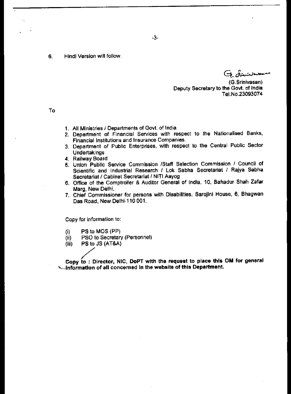6. Hindi Version will follow.

G dividen

(G.Srinivasan) Deputy Secretary to the Govt. of India Tel.No.23093074

To

- 1. All Ministries / Departments of Govt. of India
- 2. Department of Financial Services with respect to the Nationalised Banks, Financial Institutions and Insurance Companies.
- 3. Department of Public Enterprises, with respect to the Central Public Sector Undertakings
- 4. Railway Board
- 5, Union Public Service Commission /Staff Selection Commission / Council of Scientific and Industrial Research / Lok Sabha Secretariat / Rajya Sabha Secretariat / Cabinet Secretariat / NITI Aayog
- 6. Office of the Comptroller & Auditor General of India, 10, Bahadur Shah Zafar Marg, New Delhi.
- 7. Chief Commissioner for persons with Disabilities, Sarojini House, 6, Bhagwan Das Road, New Delhi-110 001.

Copy for information to:

- (i) PS to MOS (PP)
- (ii) PSO to Secretary (Personnel)
- $(iii)$  PS to JS  $(AT&A)$

**Copy to : Director, NIC, DoPT with the request to place this OM for general**  -information of all concerned in the website of this Department.